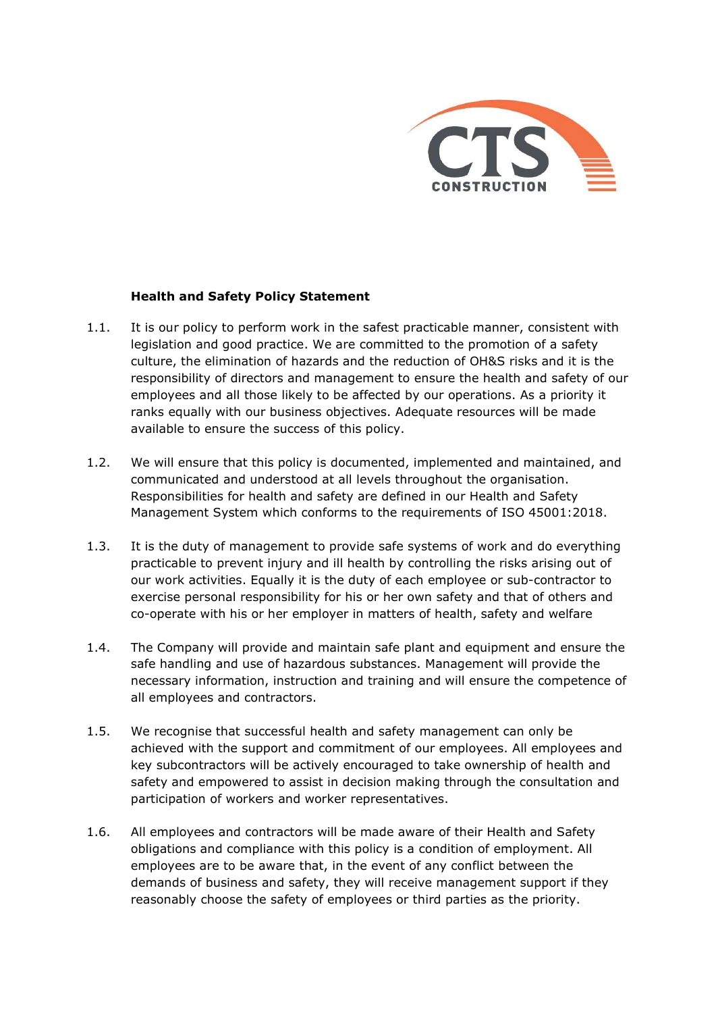

## Health and Safety Policy Statement

- 1.1. It is our policy to perform work in the safest practicable manner, consistent with legislation and good practice. We are committed to the promotion of a safety culture, the elimination of hazards and the reduction of OH&S risks and it is the responsibility of directors and management to ensure the health and safety of our employees and all those likely to be affected by our operations. As a priority it ranks equally with our business objectives. Adequate resources will be made available to ensure the success of this policy.
- 1.2. We will ensure that this policy is documented, implemented and maintained, and communicated and understood at all levels throughout the organisation. Responsibilities for health and safety are defined in our Health and Safety Management System which conforms to the requirements of ISO 45001:2018.
- 1.3. It is the duty of management to provide safe systems of work and do everything practicable to prevent injury and ill health by controlling the risks arising out of our work activities. Equally it is the duty of each employee or sub-contractor to exercise personal responsibility for his or her own safety and that of others and co-operate with his or her employer in matters of health, safety and welfare
- 1.4. The Company will provide and maintain safe plant and equipment and ensure the safe handling and use of hazardous substances. Management will provide the necessary information, instruction and training and will ensure the competence of all employees and contractors.
- 1.5. We recognise that successful health and safety management can only be achieved with the support and commitment of our employees. All employees and key subcontractors will be actively encouraged to take ownership of health and safety and empowered to assist in decision making through the consultation and participation of workers and worker representatives.
- 1.6. All employees and contractors will be made aware of their Health and Safety obligations and compliance with this policy is a condition of employment. All employees are to be aware that, in the event of any conflict between the demands of business and safety, they will receive management support if they reasonably choose the safety of employees or third parties as the priority.